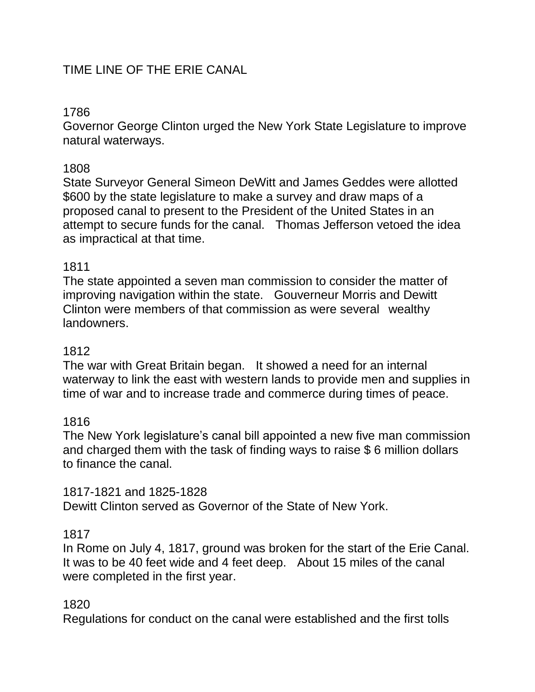# TIME LINE OF THE ERIE CANAL

# 1786

Governor George Clinton urged the New York State Legislature to improve natural waterways.

### 1808

State Surveyor General Simeon DeWitt and James Geddes were allotted \$600 by the state legislature to make a survey and draw maps of a proposed canal to present to the President of the United States in an attempt to secure funds for the canal. Thomas Jefferson vetoed the idea as impractical at that time.

### 1811

The state appointed a seven man commission to consider the matter of improving navigation within the state. Gouverneur Morris and Dewitt Clinton were members of that commission as were several wealthy landowners.

### 1812

The war with Great Britain began. It showed a need for an internal waterway to link the east with western lands to provide men and supplies in time of war and to increase trade and commerce during times of peace.

## 1816

The New York legislature's canal bill appointed a new five man commission and charged them with the task of finding ways to raise \$ 6 million dollars to finance the canal.

1817-1821 and 1825-1828 Dewitt Clinton served as Governor of the State of New York.

### 1817

In Rome on July 4, 1817, ground was broken for the start of the Erie Canal. It was to be 40 feet wide and 4 feet deep. About 15 miles of the canal were completed in the first year.

### 1820

Regulations for conduct on the canal were established and the first tolls